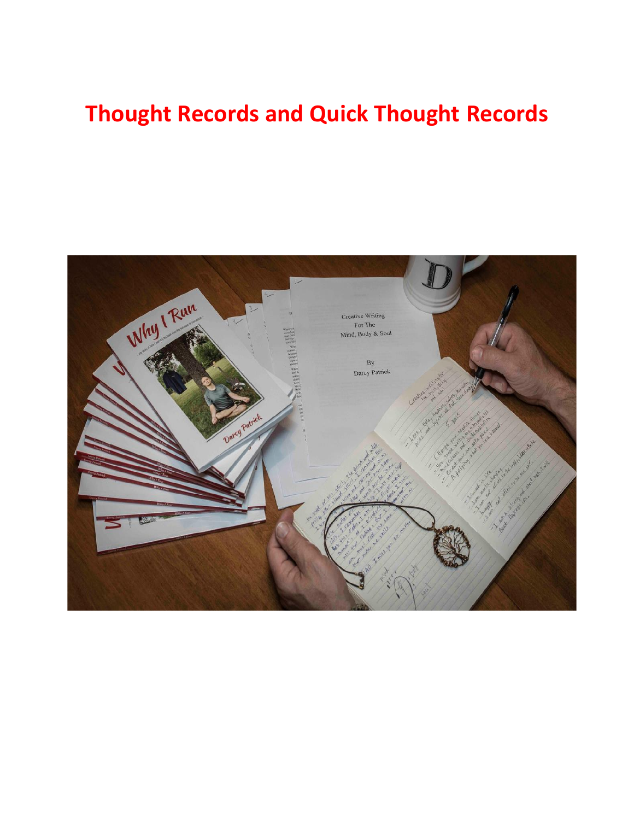## **Thought Records and Quick Thought Records**

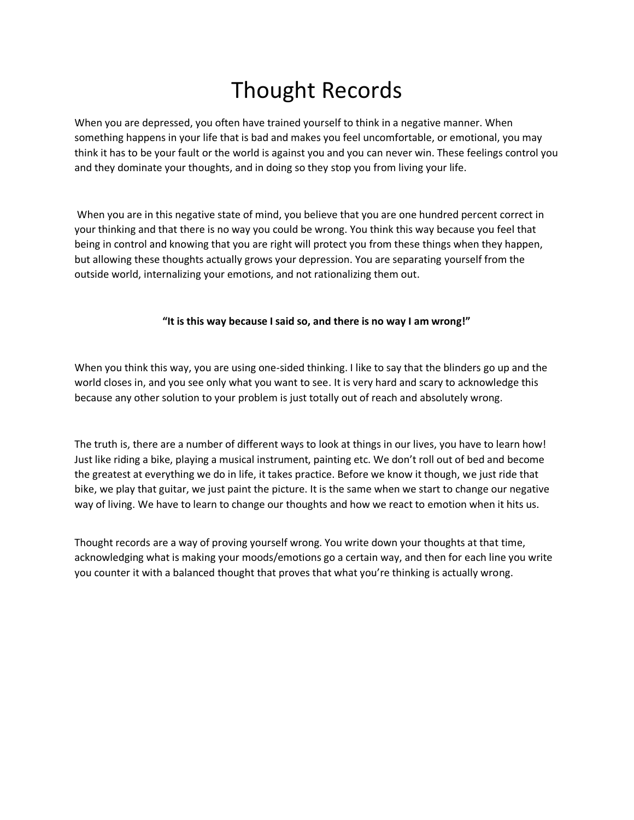# Thought Records

When you are depressed, you often have trained yourself to think in a negative manner. When something happens in your life that is bad and makes you feel uncomfortable, or emotional, you may think it has to be your fault or the world is against you and you can never win. These feelings control you and they dominate your thoughts, and in doing so they stop you from living your life.

When you are in this negative state of mind, you believe that you are one hundred percent correct in your thinking and that there is no way you could be wrong. You think this way because you feel that being in control and knowing that you are right will protect you from these things when they happen, but allowing these thoughts actually grows your depression. You are separating yourself from the outside world, internalizing your emotions, and not rationalizing them out.

#### **"It is this way because I said so, and there is no way I am wrong!"**

When you think this way, you are using one-sided thinking. I like to say that the blinders go up and the world closes in, and you see only what you want to see. It is very hard and scary to acknowledge this because any other solution to your problem is just totally out of reach and absolutely wrong.

The truth is, there are a number of different ways to look at things in our lives, you have to learn how! Just like riding a bike, playing a musical instrument, painting etc. We don't roll out of bed and become the greatest at everything we do in life, it takes practice. Before we know it though, we just ride that bike, we play that guitar, we just paint the picture. It is the same when we start to change our negative way of living. We have to learn to change our thoughts and how we react to emotion when it hits us.

Thought records are a way of proving yourself wrong. You write down your thoughts at that time, acknowledging what is making your moods/emotions go a certain way, and then for each line you write you counter it with a balanced thought that proves that what you're thinking is actually wrong.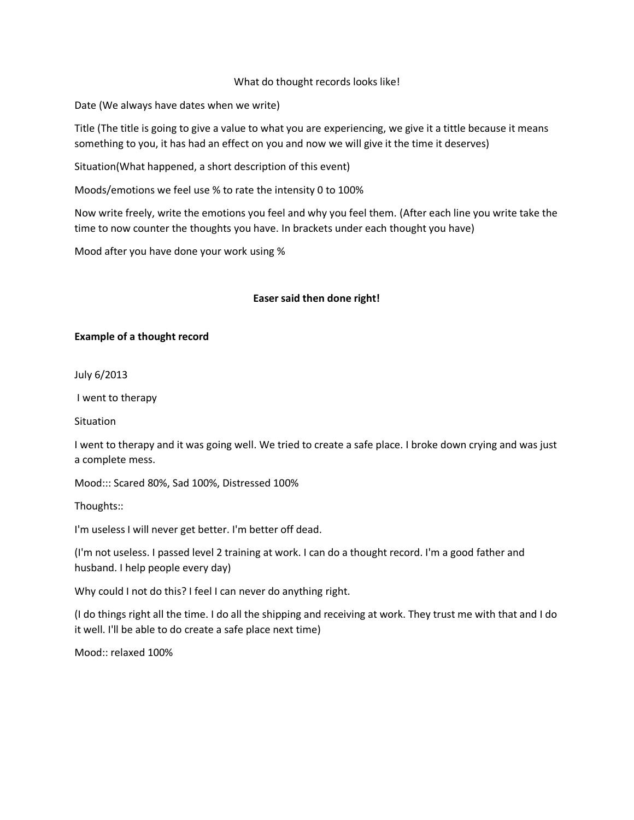#### What do thought records looks like!

Date (We always have dates when we write)

Title (The title is going to give a value to what you are experiencing, we give it a tittle because it means something to you, it has had an effect on you and now we will give it the time it deserves)

Situation(What happened, a short description of this event)

Moods/emotions we feel use % to rate the intensity 0 to 100%

Now write freely, write the emotions you feel and why you feel them. (After each line you write take the time to now counter the thoughts you have. In brackets under each thought you have)

Mood after you have done your work using %

#### **Easer said then done right!**

#### **Example of a thought record**

July 6/2013

I went to therapy

Situation

I went to therapy and it was going well. We tried to create a safe place. I broke down crying and was just a complete mess.

Mood::: Scared 80%, Sad 100%, Distressed 100%

Thoughts::

I'm useless I will never get better. I'm better off dead.

(I'm not useless. I passed level 2 training at work. I can do a thought record. I'm a good father and husband. I help people every day)

Why could I not do this? I feel I can never do anything right.

(I do things right all the time. I do all the shipping and receiving at work. They trust me with that and I do it well. I'll be able to do create a safe place next time)

Mood:: relaxed 100%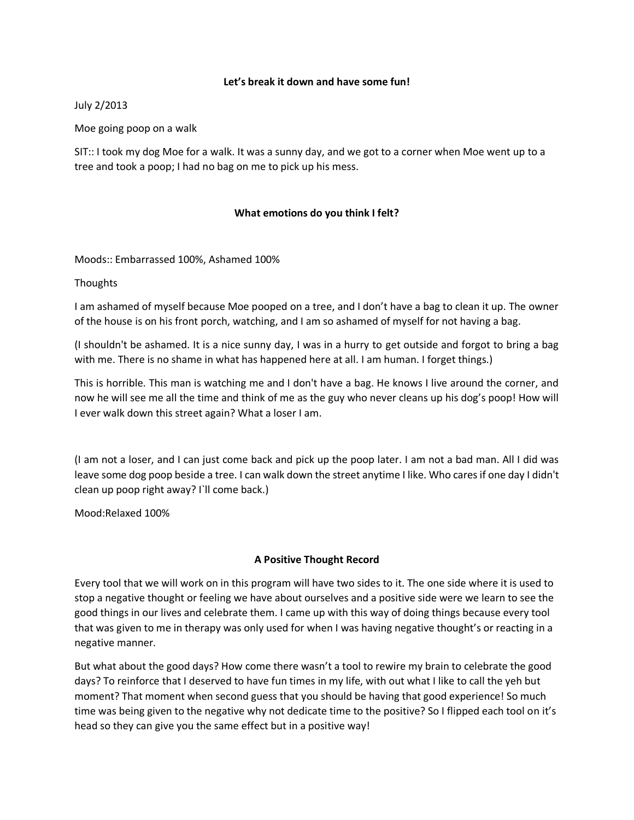#### **Let's break it down and have some fun!**

#### July 2/2013

Moe going poop on a walk

SIT:: I took my dog Moe for a walk. It was a sunny day, and we got to a corner when Moe went up to a tree and took a poop; I had no bag on me to pick up his mess.

## **What emotions do you think I felt?**

#### Moods:: Embarrassed 100%, Ashamed 100%

**Thoughts** 

I am ashamed of myself because Moe pooped on a tree, and I don't have a bag to clean it up. The owner of the house is on his front porch, watching, and I am so ashamed of myself for not having a bag.

(I shouldn't be ashamed. It is a nice sunny day, I was in a hurry to get outside and forgot to bring a bag with me. There is no shame in what has happened here at all. I am human. I forget things.)

This is horrible. This man is watching me and I don't have a bag. He knows I live around the corner, and now he will see me all the time and think of me as the guy who never cleans up his dog's poop! How will I ever walk down this street again? What a loser I am.

(I am not a loser, and I can just come back and pick up the poop later. I am not a bad man. All I did was leave some dog poop beside a tree. I can walk down the street anytime I like. Who cares if one day I didn't clean up poop right away? I`ll come back.)

Mood:Relaxed 100%

## **A Positive Thought Record**

Every tool that we will work on in this program will have two sides to it. The one side where it is used to stop a negative thought or feeling we have about ourselves and a positive side were we learn to see the good things in our lives and celebrate them. I came up with this way of doing things because every tool that was given to me in therapy was only used for when I was having negative thought's or reacting in a negative manner.

But what about the good days? How come there wasn't a tool to rewire my brain to celebrate the good days? To reinforce that I deserved to have fun times in my life, with out what I like to call the yeh but moment? That moment when second guess that you should be having that good experience! So much time was being given to the negative why not dedicate time to the positive? So I flipped each tool on it's head so they can give you the same effect but in a positive way!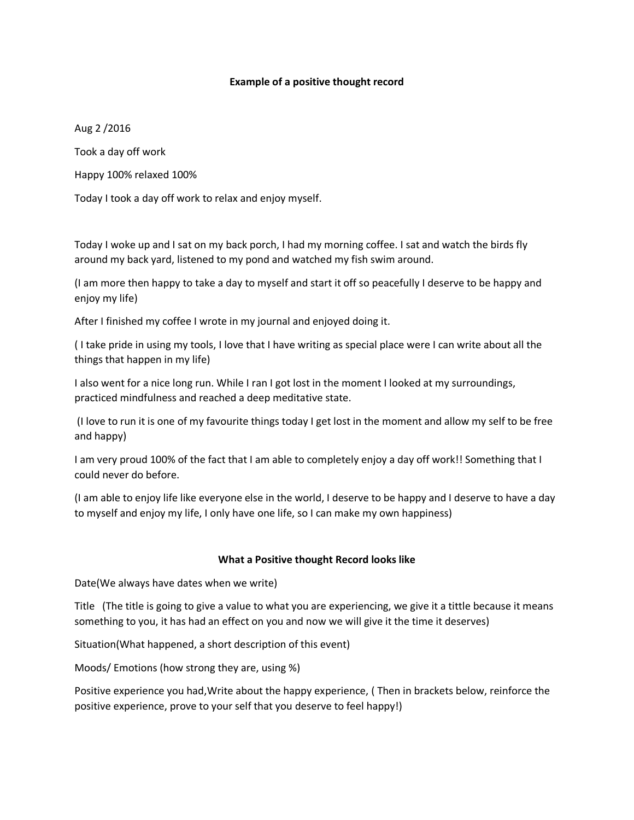#### **Example of a positive thought record**

#### Aug 2 /2016

Took a day off work

Happy 100% relaxed 100%

Today I took a day off work to relax and enjoy myself.

Today I woke up and I sat on my back porch, I had my morning coffee. I sat and watch the birds fly around my back yard, listened to my pond and watched my fish swim around.

(I am more then happy to take a day to myself and start it off so peacefully I deserve to be happy and enjoy my life)

After I finished my coffee I wrote in my journal and enjoyed doing it.

( I take pride in using my tools, I love that I have writing as special place were I can write about all the things that happen in my life)

I also went for a nice long run. While I ran I got lost in the moment I looked at my surroundings, practiced mindfulness and reached a deep meditative state.

(I love to run it is one of my favourite things today I get lost in the moment and allow my self to be free and happy)

I am very proud 100% of the fact that I am able to completely enjoy a day off work!! Something that I could never do before.

(I am able to enjoy life like everyone else in the world, I deserve to be happy and I deserve to have a day to myself and enjoy my life, I only have one life, so I can make my own happiness)

#### **What a Positive thought Record looks like**

Date(We always have dates when we write)

Title (The title is going to give a value to what you are experiencing, we give it a tittle because it means something to you, it has had an effect on you and now we will give it the time it deserves)

Situation(What happened, a short description of this event)

Moods/ Emotions (how strong they are, using %)

Positive experience you had,Write about the happy experience, ( Then in brackets below, reinforce the positive experience, prove to your self that you deserve to feel happy!)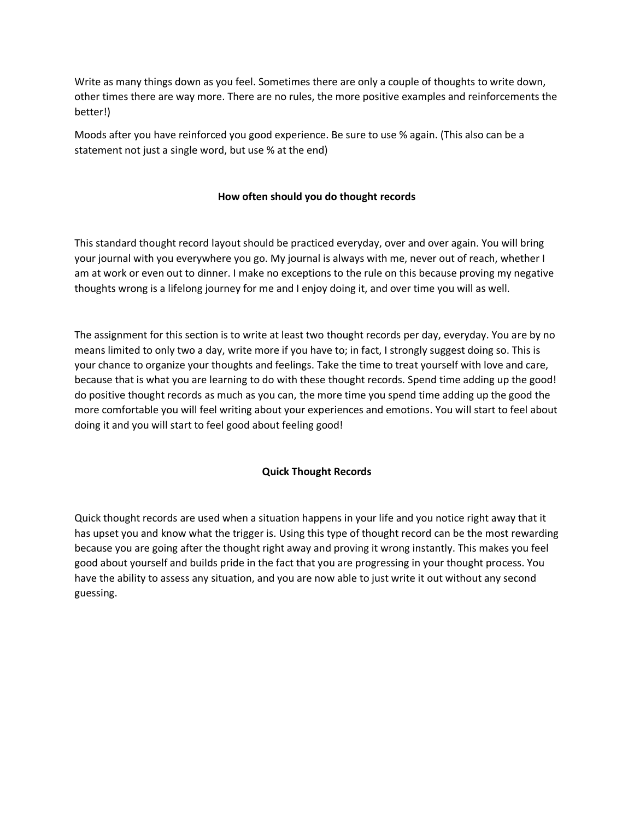Write as many things down as you feel. Sometimes there are only a couple of thoughts to write down, other times there are way more. There are no rules, the more positive examples and reinforcements the better!)

Moods after you have reinforced you good experience. Be sure to use % again. (This also can be a statement not just a single word, but use % at the end)

### **How often should you do thought records**

This standard thought record layout should be practiced everyday, over and over again. You will bring your journal with you everywhere you go. My journal is always with me, never out of reach, whether I am at work or even out to dinner. I make no exceptions to the rule on this because proving my negative thoughts wrong is a lifelong journey for me and I enjoy doing it, and over time you will as well.

The assignment for this section is to write at least two thought records per day, everyday. You are by no means limited to only two a day, write more if you have to; in fact, I strongly suggest doing so. This is your chance to organize your thoughts and feelings. Take the time to treat yourself with love and care, because that is what you are learning to do with these thought records. Spend time adding up the good! do positive thought records as much as you can, the more time you spend time adding up the good the more comfortable you will feel writing about your experiences and emotions. You will start to feel about doing it and you will start to feel good about feeling good!

## **Quick Thought Records**

Quick thought records are used when a situation happens in your life and you notice right away that it has upset you and know what the trigger is. Using this type of thought record can be the most rewarding because you are going after the thought right away and proving it wrong instantly. This makes you feel good about yourself and builds pride in the fact that you are progressing in your thought process. You have the ability to assess any situation, and you are now able to just write it out without any second guessing.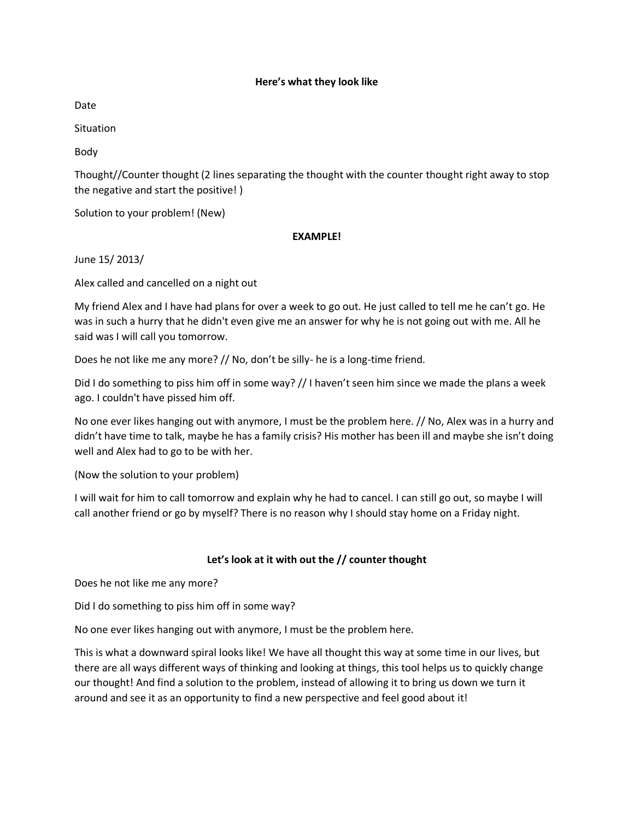#### **Here's what they look like**

Date

Situation

Body

Thought//Counter thought (2 lines separating the thought with the counter thought right away to stop the negative and start the positive! )

Solution to your problem! (New)

#### **EXAMPLE!**

June 15/ 2013/

Alex called and cancelled on a night out

My friend Alex and I have had plans for over a week to go out. He just called to tell me he can't go. He was in such a hurry that he didn't even give me an answer for why he is not going out with me. All he said was I will call you tomorrow.

Does he not like me any more? // No, don't be silly- he is a long-time friend.

Did I do something to piss him off in some way? // I haven't seen him since we made the plans a week ago. I couldn't have pissed him off.

No one ever likes hanging out with anymore, I must be the problem here. // No, Alex was in a hurry and didn't have time to talk, maybe he has a family crisis? His mother has been ill and maybe she isn't doing well and Alex had to go to be with her.

(Now the solution to your problem)

I will wait for him to call tomorrow and explain why he had to cancel. I can still go out, so maybe I will call another friend or go by myself? There is no reason why I should stay home on a Friday night.

## **Let's look at it with out the // counter thought**

Does he not like me any more?

Did I do something to piss him off in some way?

No one ever likes hanging out with anymore, I must be the problem here.

This is what a downward spiral looks like! We have all thought this way at some time in our lives, but there are all ways different ways of thinking and looking at things, this tool helps us to quickly change our thought! And find a solution to the problem, instead of allowing it to bring us down we turn it around and see it as an opportunity to find a new perspective and feel good about it!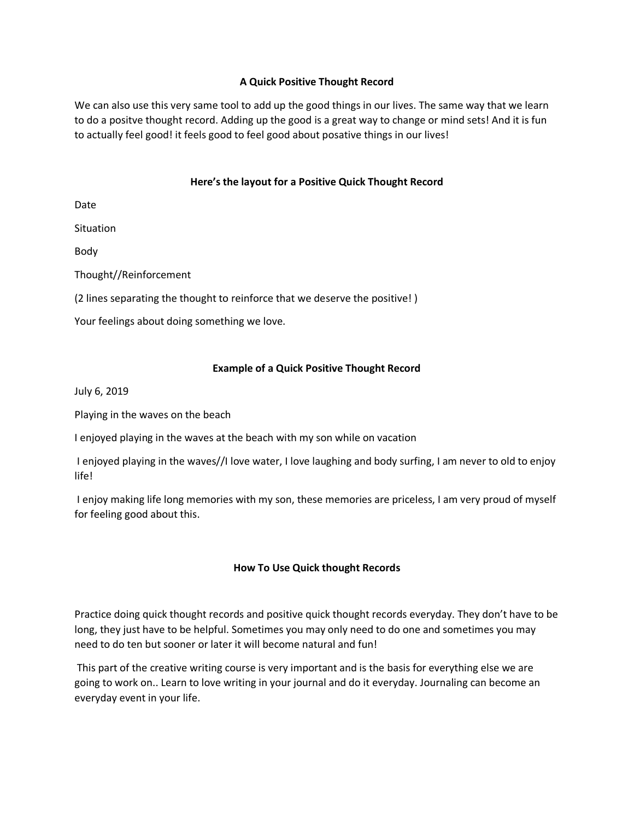## **A Quick Positive Thought Record**

We can also use this very same tool to add up the good things in our lives. The same way that we learn to do a positve thought record. Adding up the good is a great way to change or mind sets! And it is fun to actually feel good! it feels good to feel good about posative things in our lives!

## **Here's the layout for a Positive Quick Thought Record**

Date

**Situation** 

Body

Thought//Reinforcement

(2 lines separating the thought to reinforce that we deserve the positive! )

Your feelings about doing something we love.

#### **Example of a Quick Positive Thought Record**

July 6, 2019

Playing in the waves on the beach

I enjoyed playing in the waves at the beach with my son while on vacation

I enjoyed playing in the waves//I love water, I love laughing and body surfing, I am never to old to enjoy life!

I enjoy making life long memories with my son, these memories are priceless, I am very proud of myself for feeling good about this.

## **How To Use Quick thought Records**

Practice doing quick thought records and positive quick thought records everyday. They don't have to be long, they just have to be helpful. Sometimes you may only need to do one and sometimes you may need to do ten but sooner or later it will become natural and fun!

This part of the creative writing course is very important and is the basis for everything else we are going to work on.. Learn to love writing in your journal and do it everyday. Journaling can become an everyday event in your life.